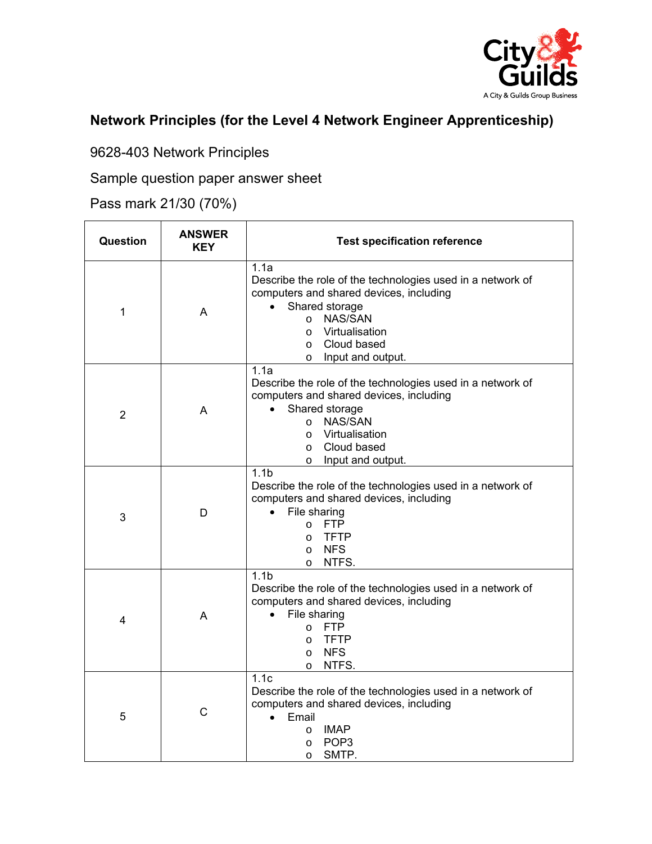

## **Network Principles (for the Level 4 Network Engineer Apprenticeship)**

9628-403 Network Principles

Sample question paper answer sheet

Pass mark 21/30 (70%)

| Question       | <b>ANSWER</b><br><b>KEY</b> | <b>Test specification reference</b>                                                                                                                                                                                                          |
|----------------|-----------------------------|----------------------------------------------------------------------------------------------------------------------------------------------------------------------------------------------------------------------------------------------|
| 1              | A                           | 1.1a<br>Describe the role of the technologies used in a network of<br>computers and shared devices, including<br>Shared storage<br>NAS/SAN<br>$\circ$<br>Virtualisation<br>$\circ$<br>Cloud based<br>$\circ$<br>Input and output.<br>$\circ$ |
| $\overline{2}$ | A                           | 1.1a<br>Describe the role of the technologies used in a network of<br>computers and shared devices, including<br>Shared storage<br>NAS/SAN<br>$\circ$<br>Virtualisation<br>$\circ$<br>Cloud based<br>$\circ$<br>Input and output.<br>$\circ$ |
| 3              | D                           | 1.1 <sub>b</sub><br>Describe the role of the technologies used in a network of<br>computers and shared devices, including<br>File sharing<br><b>FTP</b><br>$\circ$<br><b>TFTP</b><br>$\circ$<br><b>NFS</b><br>$\circ$<br>NTFS.<br>$\circ$    |
| 4              | A                           | 1.1 <sub>b</sub><br>Describe the role of the technologies used in a network of<br>computers and shared devices, including<br>File sharing<br><b>FTP</b><br>$\circ$<br><b>TFTP</b><br>$\circ$<br><b>NFS</b><br>$\circ$<br>NTFS.<br>$\circ$    |
| 5              | $\mathsf C$                 | 1.1 <sub>c</sub><br>Describe the role of the technologies used in a network of<br>computers and shared devices, including<br>Email<br>$\bullet$<br><b>IMAP</b><br>$\circ$<br>POP <sub>3</sub><br>O<br>SMTP.<br>$\circ$                       |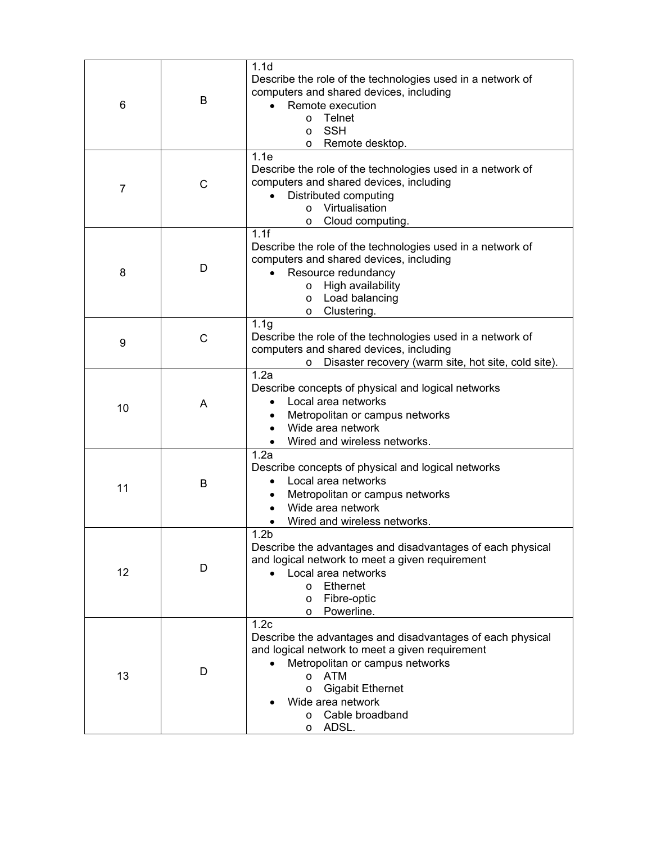| 6  | В | 1.1 <sub>d</sub><br>Describe the role of the technologies used in a network of<br>computers and shared devices, including<br>Remote execution<br>Telnet<br>$\circ$<br><b>SSH</b><br>$\circ$<br>Remote desktop.<br>$\circ$                                                                            |
|----|---|------------------------------------------------------------------------------------------------------------------------------------------------------------------------------------------------------------------------------------------------------------------------------------------------------|
| 7  | C | 1.1e<br>Describe the role of the technologies used in a network of<br>computers and shared devices, including<br>Distributed computing<br>Virtualisation<br>$\circ$<br>Cloud computing.<br>$\circ$                                                                                                   |
| 8  | D | 1.1f<br>Describe the role of the technologies used in a network of<br>computers and shared devices, including<br>Resource redundancy<br>High availability<br>$\circ$<br>Load balancing<br>$\circ$<br>Clustering.<br>$\circ$                                                                          |
| 9  | C | 1.1 <sub>g</sub><br>Describe the role of the technologies used in a network of<br>computers and shared devices, including<br>Disaster recovery (warm site, hot site, cold site).<br>$\circ$                                                                                                          |
| 10 | A | 1.2a<br>Describe concepts of physical and logical networks<br>Local area networks<br>Metropolitan or campus networks<br>Wide area network<br>Wired and wireless networks.                                                                                                                            |
| 11 | B | 1.2a<br>Describe concepts of physical and logical networks<br>Local area networks<br>Metropolitan or campus networks<br>Wide area network<br>Wired and wireless networks.                                                                                                                            |
| 12 | D | 1.2 <sub>b</sub><br>Describe the advantages and disadvantages of each physical<br>and logical network to meet a given requirement<br>Local area networks<br><b>Ethernet</b><br>$\circ$<br>Fibre-optic<br>$\circ$<br>Powerline.<br>$\circ$                                                            |
| 13 | D | 1.2 <sub>c</sub><br>Describe the advantages and disadvantages of each physical<br>and logical network to meet a given requirement<br>Metropolitan or campus networks<br><b>ATM</b><br>$\circ$<br><b>Gigabit Ethernet</b><br>$\circ$<br>Wide area network<br>Cable broadband<br>$\circ$<br>ADSL.<br>O |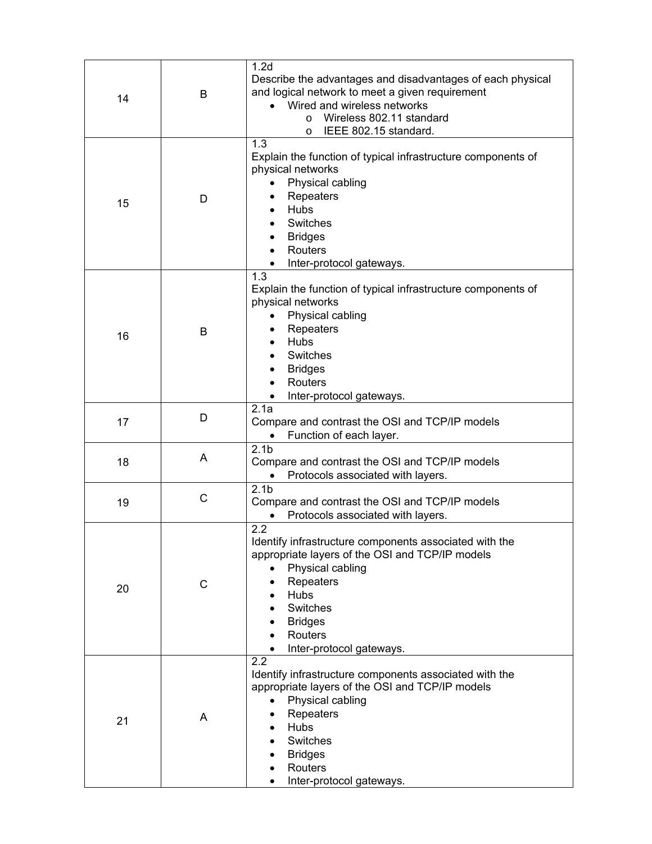| 14 | B            | 1.2 <sub>d</sub><br>Describe the advantages and disadvantages of each physical<br>and logical network to meet a given requirement<br>Wired and wireless networks<br>Wireless 802.11 standard<br>$\Omega$<br>IEEE 802.15 standard.<br>O           |
|----|--------------|--------------------------------------------------------------------------------------------------------------------------------------------------------------------------------------------------------------------------------------------------|
| 15 | D            | 1.3<br>Explain the function of typical infrastructure components of<br>physical networks<br>Physical cabling<br>$\bullet$<br>Repeaters<br><b>Hubs</b><br>Switches<br><b>Bridges</b><br>Routers<br>Inter-protocol gateways.                       |
| 16 | B            | 1.3<br>Explain the function of typical infrastructure components of<br>physical networks<br>Physical cabling<br>Repeaters<br><b>Hubs</b><br><b>Switches</b><br><b>Bridges</b><br>Routers<br>Inter-protocol gateways.                             |
| 17 | D            | 2.1a<br>Compare and contrast the OSI and TCP/IP models<br>Function of each layer.                                                                                                                                                                |
| 18 | A            | 2.1 <sub>b</sub><br>Compare and contrast the OSI and TCP/IP models<br>Protocols associated with layers.<br>$\bullet$                                                                                                                             |
| 19 | $\mathsf{C}$ | 2.1 <sub>b</sub><br>Compare and contrast the OSI and TCP/IP models<br>Protocols associated with layers.                                                                                                                                          |
| 20 | C            | 2.2<br>Identify infrastructure components associated with the<br>appropriate layers of the OSI and TCP/IP models<br>Physical cabling<br>Repeaters<br>Hubs<br>Switches<br><b>Bridges</b><br>Routers<br>Inter-protocol gateways.                   |
| 21 | Α            | 2.2<br>Identify infrastructure components associated with the<br>appropriate layers of the OSI and TCP/IP models<br>Physical cabling<br>$\bullet$<br>Repeaters<br>٠<br>Hubs<br>Switches<br><b>Bridges</b><br>Routers<br>Inter-protocol gateways. |